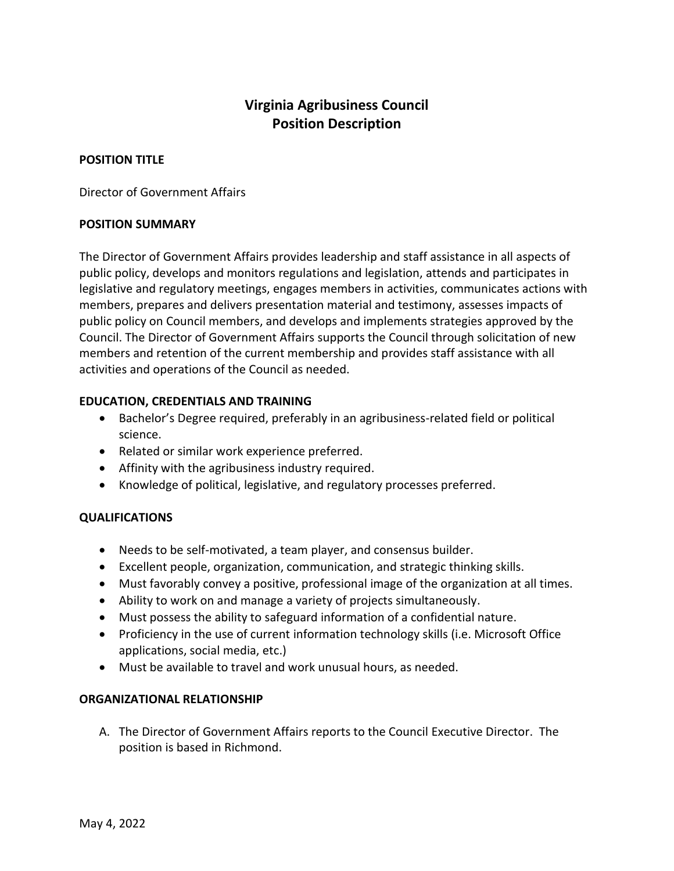# **Virginia Agribusiness Council Position Description**

## **POSITION TITLE**

Director of Government Affairs

#### **POSITION SUMMARY**

The Director of Government Affairs provides leadership and staff assistance in all aspects of public policy, develops and monitors regulations and legislation, attends and participates in legislative and regulatory meetings, engages members in activities, communicates actions with members, prepares and delivers presentation material and testimony, assesses impacts of public policy on Council members, and develops and implements strategies approved by the Council. The Director of Government Affairs supports the Council through solicitation of new members and retention of the current membership and provides staff assistance with all activities and operations of the Council as needed.

# **EDUCATION, CREDENTIALS AND TRAINING**

- Bachelor's Degree required, preferably in an agribusiness-related field or political science.
- Related or similar work experience preferred.
- Affinity with the agribusiness industry required.
- Knowledge of political, legislative, and regulatory processes preferred.

# **QUALIFICATIONS**

- Needs to be self-motivated, a team player, and consensus builder.
- Excellent people, organization, communication, and strategic thinking skills.
- Must favorably convey a positive, professional image of the organization at all times.
- Ability to work on and manage a variety of projects simultaneously.
- Must possess the ability to safeguard information of a confidential nature.
- Proficiency in the use of current information technology skills (i.e. Microsoft Office applications, social media, etc.)
- Must be available to travel and work unusual hours, as needed.

#### **ORGANIZATIONAL RELATIONSHIP**

A. The Director of Government Affairs reports to the Council Executive Director. The position is based in Richmond.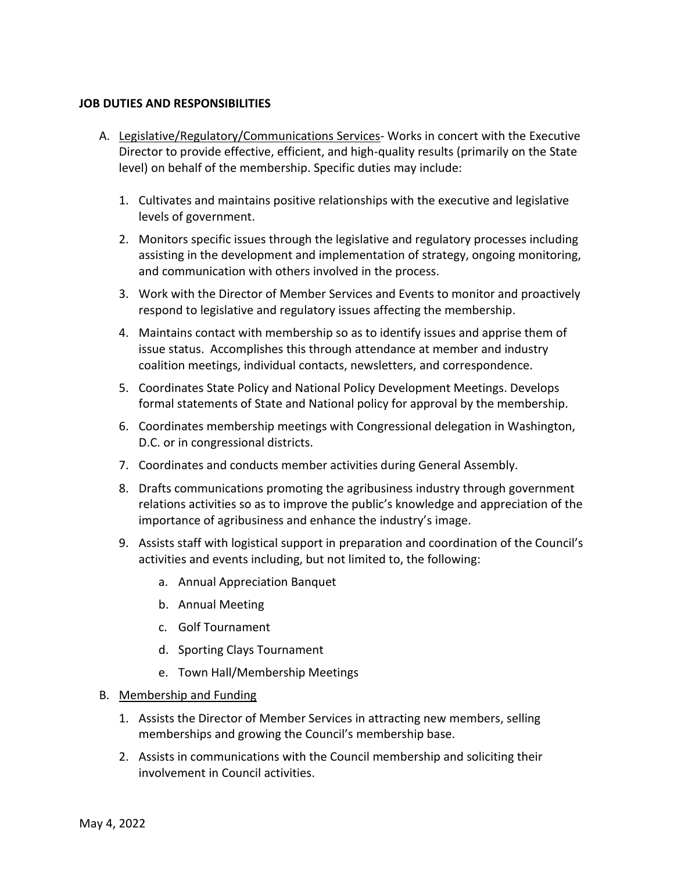#### **JOB DUTIES AND RESPONSIBILITIES**

- A. Legislative/Regulatory/Communications Services- Works in concert with the Executive Director to provide effective, efficient, and high-quality results (primarily on the State level) on behalf of the membership. Specific duties may include:
	- 1. Cultivates and maintains positive relationships with the executive and legislative levels of government.
	- 2. Monitors specific issues through the legislative and regulatory processes including assisting in the development and implementation of strategy, ongoing monitoring, and communication with others involved in the process.
	- 3. Work with the Director of Member Services and Events to monitor and proactively respond to legislative and regulatory issues affecting the membership.
	- 4. Maintains contact with membership so as to identify issues and apprise them of issue status. Accomplishes this through attendance at member and industry coalition meetings, individual contacts, newsletters, and correspondence.
	- 5. Coordinates State Policy and National Policy Development Meetings. Develops formal statements of State and National policy for approval by the membership.
	- 6. Coordinates membership meetings with Congressional delegation in Washington, D.C. or in congressional districts.
	- 7. Coordinates and conducts member activities during General Assembly.
	- 8. Drafts communications promoting the agribusiness industry through government relations activities so as to improve the public's knowledge and appreciation of the importance of agribusiness and enhance the industry's image.
	- 9. Assists staff with logistical support in preparation and coordination of the Council's activities and events including, but not limited to, the following:
		- a. Annual Appreciation Banquet
		- b. Annual Meeting
		- c. Golf Tournament
		- d. Sporting Clays Tournament
		- e. Town Hall/Membership Meetings
- B. Membership and Funding
	- 1. Assists the Director of Member Services in attracting new members, selling memberships and growing the Council's membership base.
	- 2. Assists in communications with the Council membership and soliciting their involvement in Council activities.